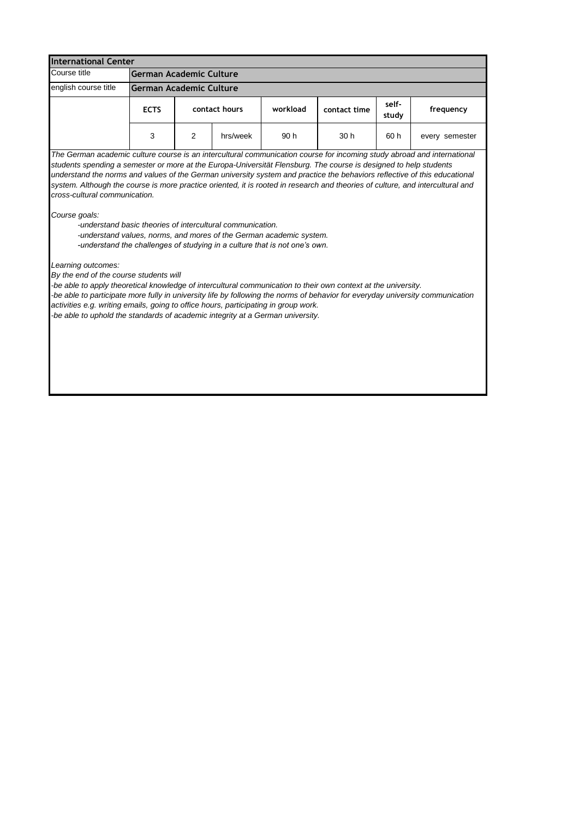| <b>International Center</b>                                                                                                                                                                                                                                                                                                                                                                                                                                                                                                                                                                                                                                                                                                                                                      |                                |               |          |          |              |                |                |
|----------------------------------------------------------------------------------------------------------------------------------------------------------------------------------------------------------------------------------------------------------------------------------------------------------------------------------------------------------------------------------------------------------------------------------------------------------------------------------------------------------------------------------------------------------------------------------------------------------------------------------------------------------------------------------------------------------------------------------------------------------------------------------|--------------------------------|---------------|----------|----------|--------------|----------------|----------------|
| Course title                                                                                                                                                                                                                                                                                                                                                                                                                                                                                                                                                                                                                                                                                                                                                                     | <b>German Academic Culture</b> |               |          |          |              |                |                |
| english course title                                                                                                                                                                                                                                                                                                                                                                                                                                                                                                                                                                                                                                                                                                                                                             | German Academic Culture        |               |          |          |              |                |                |
|                                                                                                                                                                                                                                                                                                                                                                                                                                                                                                                                                                                                                                                                                                                                                                                  | <b>ECTS</b>                    | contact hours |          | workload | contact time | self-<br>study | frequency      |
|                                                                                                                                                                                                                                                                                                                                                                                                                                                                                                                                                                                                                                                                                                                                                                                  | 3                              | 2             | hrs/week | 90 h     | 30 h         | 60 h           | every semester |
| The German academic culture course is an intercultural communication course for incoming study abroad and international<br>students spending a semester or more at the Europa-Universität Flensburg. The course is designed to help students<br>understand the norms and values of the German university system and practice the behaviors reflective of this educational<br>system. Although the course is more practice oriented, it is rooted in research and theories of culture, and intercultural and<br>cross-cultural communication.<br>Course goals:<br>-understand basic theories of intercultural communication.<br>-understand values, norms, and mores of the German academic system.<br>-understand the challenges of studying in a culture that is not one's own. |                                |               |          |          |              |                |                |
| Learning outcomes:<br>By the end of the course students will<br>-be able to apply theoretical knowledge of intercultural communication to their own context at the university.<br>-be able to participate more fully in university life by following the norms of behavior for everyday university communication<br>activities e.g. writing emails, going to office hours, participating in group work.<br>-be able to uphold the standards of academic integrity at a German university.                                                                                                                                                                                                                                                                                        |                                |               |          |          |              |                |                |